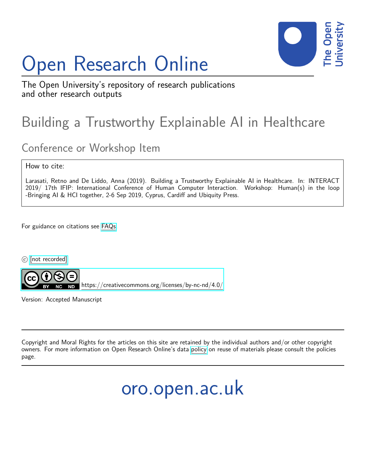# Open Research Online



The Open University's repository of research publications and other research outputs

## Building a Trustworthy Explainable AI in Healthcare

### Conference or Workshop Item

How to cite:

Larasati, Retno and De Liddo, Anna (2019). Building a Trustworthy Explainable AI in Healthcare. In: INTERACT 2019/ 17th IFIP: International Conference of Human Computer Interaction. Workshop: Human(s) in the loop -Bringing AI & HCI together, 2-6 Sep 2019, Cyprus, Cardiff and Ubiquity Press.

For guidance on citations see [FAQs.](http://oro.open.ac.uk/help/helpfaq.html)

c [\[not recorded\]](http://oro.open.ac.uk/help/helpfaq.html#Unrecorded_information_on_coversheet)



<https://creativecommons.org/licenses/by-nc-nd/4.0/>

Version: Accepted Manuscript

Copyright and Moral Rights for the articles on this site are retained by the individual authors and/or other copyright owners. For more information on Open Research Online's data [policy](http://oro.open.ac.uk/policies.html) on reuse of materials please consult the policies page.

oro.open.ac.uk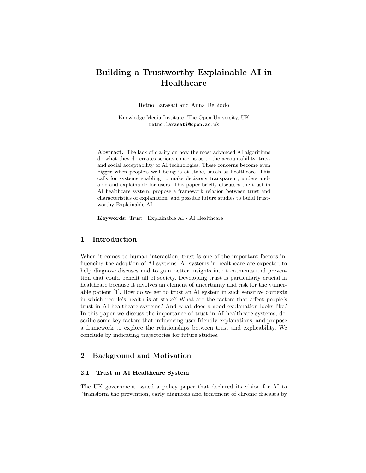#### Building a Trustworthy Explainable AI in Healthcare

Retno Larasati and Anna DeLiddo

Knowledge Media Institute, The Open University, UK retno.larasati@open.ac.uk

Abstract. The lack of clarity on how the most advanced AI algorithms do what they do creates serious concerns as to the accountability, trust and social acceptability of AI technologies. These concerns become even bigger when people's well being is at stake, sucah as healthcare. This calls for systems enabling to make decisions transparent, understandable and explainable for users. This paper briefly discusses the trust in AI healthcare system, propose a framework relation between trust and characteristics of explanation, and possible future studies to build trustworthy Explainable AI.

Keywords: Trust · Explainable AI · AI Healthcare

#### 1 Introduction

When it comes to human interaction, trust is one of the important factors influencing the adoption of AI systems. AI systems in healthcare are expected to help diagnose diseases and to gain better insights into treatments and prevention that could benefit all of society. Developing trust is particularly crucial in healthcare because it involves an element of uncertainty and risk for the vulnerable patient [1]. How do we get to trust an AI system in such sensitive contexts in which people's health is at stake? What are the factors that affect people's trust in AI healthcare systems? And what does a good explanation looks like? In this paper we discuss the importance of trust in AI healthcare systems, describe some key factors that influencing user friendly explanations, and propose a framework to explore the relationships between trust and explicability. We conclude by indicating trajectories for future studies.

#### 2 Background and Motivation

#### 2.1 Trust in AI Healthcare System

The UK government issued a policy paper that declared its vision for AI to "transform the prevention, early diagnosis and treatment of chronic diseases by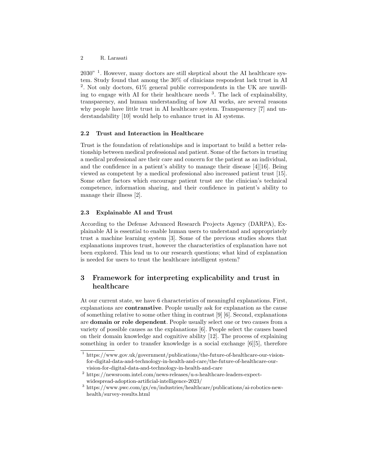2 R. Larasati

2030" <sup>1</sup> . However, many doctors are still skeptical about the AI healthcare system. Study found that among the 30% of clinicians respondent lack trust in AI 2 . Not only doctors, 61% general public correspondents in the UK are unwilling to engage with AI for their healthcare needs <sup>3</sup> . The lack of explainability, transparency, and human understanding of how AI works, are several reasons why people have little trust in AI healthcare system. Transparency [7] and understandability [10] would help to enhance trust in AI systems.

#### 2.2 Trust and Interaction in Healthcare

Trust is the foundation of relationships and is important to build a better relationship between medical professional and patient. Some of the factors in trusting a medical professional are their care and concern for the patient as an individual, and the confidence in a patient's ability to manage their disease [4][16]. Being viewed as competent by a medical professional also increased patient trust [15]. Some other factors which encourage patient trust are the clinician's technical competence, information sharing, and their confidence in patient's ability to manage their illness [2].

#### 2.3 Explainable AI and Trust

According to the Defense Advanced Research Projects Agency (DARPA), Explainable AI is essential to enable human users to understand and appropriately trust a machine learning system [3]. Some of the previous studies shows that explanations improves trust, however the characteristics of explanation have not been explored. This lead us to our research questions; what kind of explanation is needed for users to trust the healthcare intelligent system?

#### 3 Framework for interpreting explicability and trust in healthcare

At our current state, we have 6 characteristics of meaningful explanations. First, explanations are contranstive. People usually ask for explanation as the cause of something relative to some other thing in contrast [9] [6]. Second, explanations are domain or role dependent. People usually select one or two causes from a variety of possible causes as the explanations [6]. People select the causes based on their domain knowledge and cognitive ability [12]. The process of explaining something in order to transfer knowledge is a social exchange [6][5], therefore

<sup>1</sup> https://www.gov.uk/government/publications/the-future-of-healthcare-our-visionfor-digital-data-and-technology-in-health-and-care/the-future-of-healthcare-ourvision-for-digital-data-and-technology-in-health-and-care

 $^2$ https://newsroom.intel.com/news-releases/u-s-healthcare-leaders-expectwidespread-adoption-artificial-intelligence-2023/

<sup>3</sup> https://www.pwc.com/gx/en/industries/healthcare/publications/ai-robotics-newhealth/survey-results.html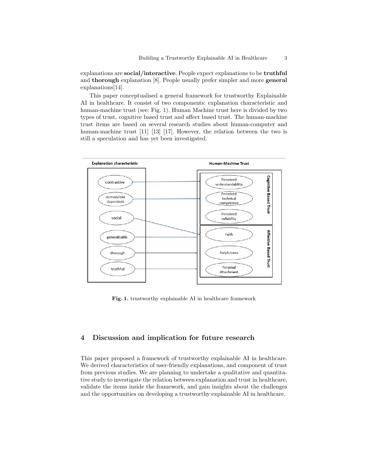explanations are social/interactive. People expect explanations to be truthful and thorough explanation [8]. People usually prefer simpler and more general explanations[14].

This paper conceptualised a general framework for trustworthy Explainable AI in healthcare. It consist of two components: explanation characteristic and human-machine trust (see: Fig. 1). Human Machine trust here is divided by two types of trust, cognitive based trust and affect based trust. The human-machine trust items are based on several research studies about human-computer and human-machine trust [11] [13] [17]. However, the relation between the two is still a speculation and has yet been investigated.



Fig. 1. trustworthy explainable AI in healthcare framework

#### 4 Discussion and implication for future research

This paper proposed a framework of trustworthy explainable AI in healthcare. We derived characteristics of user-friendly explanations, and component of trust from previous studies. We are planning to undertake a qualitative and quantitative study to investigate the relation between explanation and trust in healthcare, validate the items inside the framework, and gain insights about the challenges and the opportunities on developing a trustworthy explainable AI in healthcare.